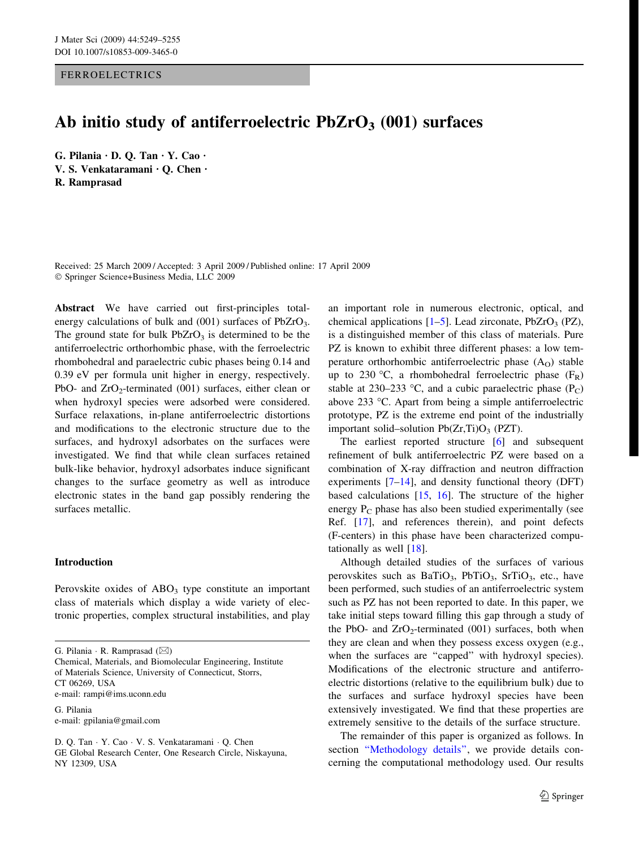# FERROELECTRICS

# Ab initio study of antiferroelectric  $PbZrO<sub>3</sub>$  (001) surfaces

G. Pilania  $\cdot$  D. O. Tan  $\cdot$  Y. Cao  $\cdot$ V. S. Venkataramani · Q. Chen · R. Ramprasad

Received: 25 March 2009 / Accepted: 3 April 2009 / Published online: 17 April 2009 Springer Science+Business Media, LLC 2009

Abstract We have carried out first-principles totalenergy calculations of bulk and  $(001)$  surfaces of PbZrO<sub>3</sub>. The ground state for bulk  $PbZrO<sub>3</sub>$  is determined to be the antiferroelectric orthorhombic phase, with the ferroelectric rhombohedral and paraelectric cubic phases being 0.14 and 0.39 eV per formula unit higher in energy, respectively. PbO- and  $ZrO<sub>2</sub>$ -terminated (001) surfaces, either clean or when hydroxyl species were adsorbed were considered. Surface relaxations, in-plane antiferroelectric distortions and modifications to the electronic structure due to the surfaces, and hydroxyl adsorbates on the surfaces were investigated. We find that while clean surfaces retained bulk-like behavior, hydroxyl adsorbates induce significant changes to the surface geometry as well as introduce electronic states in the band gap possibly rendering the surfaces metallic.

## Introduction

Perovskite oxides of  $ABO<sub>3</sub>$  type constitute an important class of materials which display a wide variety of electronic properties, complex structural instabilities, and play

G. Pilania e-mail: gpilania@gmail.com an important role in numerous electronic, optical, and chemical applications  $[1–5]$  $[1–5]$ . Lead zirconate, PbZrO<sub>3</sub> (PZ), is a distinguished member of this class of materials. Pure PZ is known to exhibit three different phases: a low temperature orthorhombic antiferroelectric phase  $(A<sub>O</sub>)$  stable up to 230 °C, a rhombohedral ferroelectric phase  $(F_R)$ stable at 230–233 °C, and a cubic paraelectric phase  $(P_C)$ above 233 °C. Apart from being a simple antiferroelectric prototype, PZ is the extreme end point of the industrially important solid–solution  $Pb(Zr,Ti)O<sub>3</sub>$  (PZT).

The earliest reported structure [[6\]](#page-5-0) and subsequent refinement of bulk antiferroelectric PZ were based on a combination of X-ray diffraction and neutron diffraction experiments  $[7-14]$  $[7-14]$ , and density functional theory (DFT) based calculations [[15,](#page-6-0) [16](#page-6-0)]. The structure of the higher energy  $P_C$  phase has also been studied experimentally (see Ref. [\[17](#page-6-0)], and references therein), and point defects (F-centers) in this phase have been characterized computationally as well [[18\]](#page-6-0).

Although detailed studies of the surfaces of various perovskites such as  $BaTiO<sub>3</sub>$ ,  $PbTiO<sub>3</sub>$ ,  $SrTiO<sub>3</sub>$ , etc., have been performed, such studies of an antiferroelectric system such as PZ has not been reported to date. In this paper, we take initial steps toward filling this gap through a study of the PbO- and  $ZrO<sub>2</sub>$ -terminated (001) surfaces, both when they are clean and when they possess excess oxygen (e.g., when the surfaces are "capped" with hydroxyl species). Modifications of the electronic structure and antiferroelectric distortions (relative to the equilibrium bulk) due to the surfaces and surface hydroxyl species have been extensively investigated. We find that these properties are extremely sensitive to the details of the surface structure.

The remainder of this paper is organized as follows. In section "Methodology details", we provide details concerning the computational methodology used. Our results

G. Pilania  $\cdot$  R. Ramprasad ( $\boxtimes$ )

Chemical, Materials, and Biomolecular Engineering, Institute of Materials Science, University of Connecticut, Storrs, CT 06269, USA e-mail: rampi@ims.uconn.edu

D. Q. Tan · Y. Cao · V. S. Venkataramani · Q. Chen GE Global Research Center, One Research Circle, Niskayuna, NY 12309, USA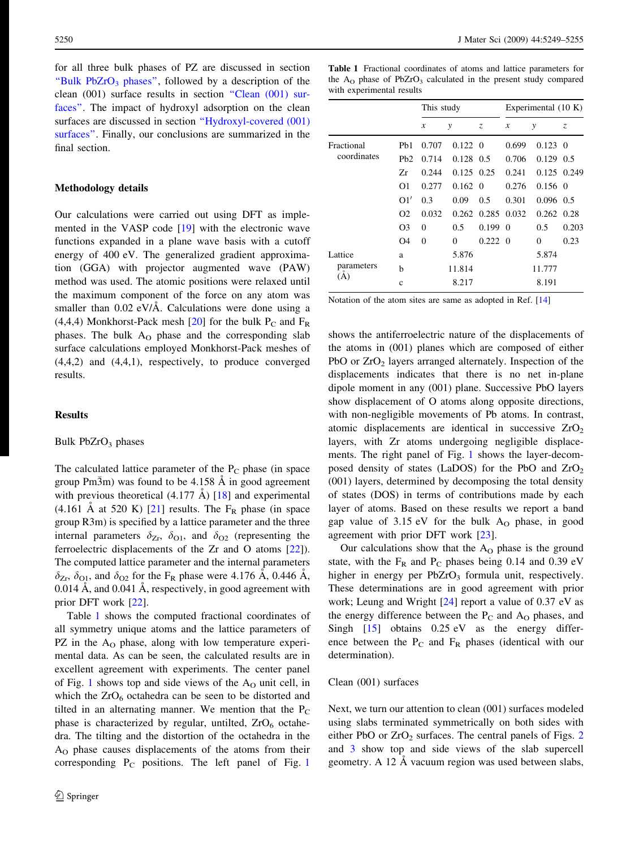<span id="page-1-0"></span>for all three bulk phases of PZ are discussed in section "Bulk  $PbZrO<sub>3</sub>$  phases", followed by a description of the clean (001) surface results in section "Clean (001) surfaces''. The impact of hydroxyl adsorption on the clean surfaces are discussed in section [''Hydroxyl-covered \(001\)](#page-4-0) [surfaces''](#page-4-0). Finally, our conclusions are summarized in the final section.

## Methodology details

Our calculations were carried out using DFT as implemented in the VASP code [[19\]](#page-6-0) with the electronic wave functions expanded in a plane wave basis with a cutoff energy of 400 eV. The generalized gradient approximation (GGA) with projector augmented wave (PAW) method was used. The atomic positions were relaxed until the maximum component of the force on any atom was smaller than  $0.02$  eV/Å. Calculations were done using a (4,4,4) Monkhorst-Pack mesh [[20\]](#page-6-0) for the bulk  $P_C$  and  $F_R$ phases. The bulk  $A<sub>O</sub>$  phase and the corresponding slab surface calculations employed Monkhorst-Pack meshes of (4,4,2) and (4,4,1), respectively, to produce converged results.

# Results

#### Bulk  $PbZrO<sub>3</sub>$  phases

The calculated lattice parameter of the  $P_C$  phase (in space group Pm $\overline{3}$ m) was found to be 4.158 Å in good agreement with previous theoretical  $(4.177 \text{ Å})$  [\[18](#page-6-0)] and experimental (4.161 A at 520 K) [\[21](#page-6-0)] results. The  $F_R$  phase (in space group R3m) is specified by a lattice parameter and the three internal parameters  $\delta_{Z_r}$ ,  $\delta_{O1}$ , and  $\delta_{O2}$  (representing the ferroelectric displacements of the Zr and O atoms [[22](#page-6-0)]). The computed lattice parameter and the internal parameters  $\delta_{Z_r}$ ,  $\delta_{Q1}$ , and  $\delta_{Q2}$  for the F<sub>R</sub> phase were 4.176 A, 0.446 A, 0.014  $\AA$ , and 0.041  $\AA$ , respectively, in good agreement with prior DFT work [\[22](#page-6-0)].

Table 1 shows the computed fractional coordinates of all symmetry unique atoms and the lattice parameters of PZ in the A<sub>O</sub> phase, along with low temperature experimental data. As can be seen, the calculated results are in excellent agreement with experiments. The center panel of Fig. [1](#page-2-0) shows top and side views of the  $A<sub>O</sub>$  unit cell, in which the  $ZrO_6$  octahedra can be seen to be distorted and tilted in an alternating manner. We mention that the  $P_C$ phase is characterized by regular, untilted,  $ZrO_6$  octahedra. The tilting and the distortion of the octahedra in the AO phase causes displacements of the atoms from their corresponding  $P_C$  positions. The left panel of Fig. [1](#page-2-0)

Table 1 Fractional coordinates of atoms and lattice parameters for the  $A<sub>O</sub>$  phase of PbZrO<sub>3</sub> calculated in the present study compared with experimental results

|                              |                  | This study |                 |                 | Experimental $(10 K)$ |                 |          |
|------------------------------|------------------|------------|-----------------|-----------------|-----------------------|-----------------|----------|
|                              |                  | x          | у               | Z.              | $\boldsymbol{x}$      | y               | Z.       |
| Fractional<br>coordinates    | P <sub>b</sub> 1 | 0.707      | $0.122 \quad 0$ |                 | 0.699                 | 0.123           | $\Omega$ |
|                              | Pb2              | 0.714      | $0.128$ 0.5     |                 | 0.706                 | $0.129$ 0.5     |          |
|                              | Zr               | 0.244      | $0.125$ 0.25    |                 | 0.241                 | 0.125 0.249     |          |
|                              | O <sub>1</sub>   | 0.277      | $0.162 \quad 0$ |                 | 0.276                 | $0.156 \quad 0$ |          |
|                              | O1'              | 0.3        | 0.09            | 0.5             | 0.301                 | $0.096$ 0.5     |          |
|                              | $\Omega$         | 0.032      | 0.262           | 0.285           | 0.032                 | 0.262           | 0.28     |
|                              | O <sub>3</sub>   | $\Omega$   | 0.5             | 0.199           | $\Omega$              | 0.5             | 0.203    |
|                              | O <sub>4</sub>   | $\Omega$   | 0               | $0.222 \quad 0$ |                       | $\Omega$        | 0.23     |
| Lattice<br>parameters<br>(A) | a                |            | 5.876           |                 |                       | 5.874           |          |
|                              | h                |            | 11.814          |                 |                       | 11.777          |          |
|                              | c                |            | 8.217           |                 |                       | 8.191           |          |

Notation of the atom sites are same as adopted in Ref. [\[14\]](#page-6-0)

shows the antiferroelectric nature of the displacements of the atoms in (001) planes which are composed of either PbO or  $ZrO<sub>2</sub>$  layers arranged alternately. Inspection of the displacements indicates that there is no net in-plane dipole moment in any (001) plane. Successive PbO layers show displacement of O atoms along opposite directions, with non-negligible movements of Pb atoms. In contrast, atomic displacements are identical in successive  $ZrO<sub>2</sub>$ layers, with Zr atoms undergoing negligible displacements. The right panel of Fig. [1](#page-2-0) shows the layer-decomposed density of states (LaDOS) for the PbO and  $ZrO<sub>2</sub>$ (001) layers, determined by decomposing the total density of states (DOS) in terms of contributions made by each layer of atoms. Based on these results we report a band gap value of  $3.15 \text{ eV}$  for the bulk  $A<sub>O</sub>$  phase, in good agreement with prior DFT work [[23\]](#page-6-0).

Our calculations show that the  $A<sub>O</sub>$  phase is the ground state, with the  $F_R$  and  $P_C$  phases being 0.14 and 0.39 eV higher in energy per  $PbZrO<sub>3</sub>$  formula unit, respectively. These determinations are in good agreement with prior work; Leung and Wright [\[24](#page-6-0)] report a value of 0.37 eV as the energy difference between the  $P_C$  and  $A_O$  phases, and Singh [[15\]](#page-6-0) obtains 0.25 eV as the energy difference between the  $P_C$  and  $F_R$  phases (identical with our determination).

## Clean (001) surfaces

Next, we turn our attention to clean (001) surfaces modeled using slabs terminated symmetrically on both sides with either PbO or  $ZrO<sub>2</sub>$  $ZrO<sub>2</sub>$  $ZrO<sub>2</sub>$  surfaces. The central panels of Figs. 2 and [3](#page-3-0) show top and side views of the slab supercell geometry. A 12 Å vacuum region was used between slabs,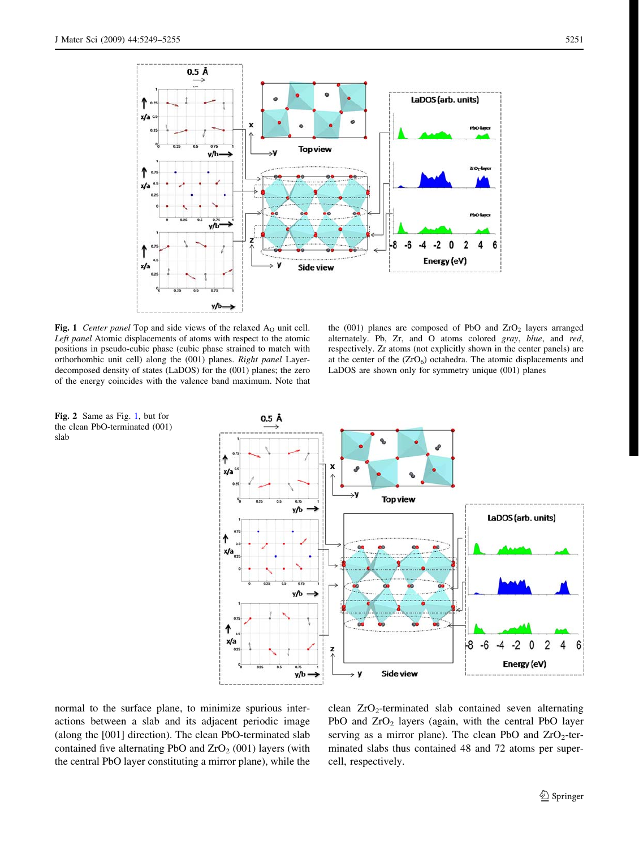<span id="page-2-0"></span>

Fig. 1 Center panel Top and side views of the relaxed  $A<sub>O</sub>$  unit cell. Left panel Atomic displacements of atoms with respect to the atomic positions in pseudo-cubic phase (cubic phase strained to match with orthorhombic unit cell) along the (001) planes. Right panel Layerdecomposed density of states (LaDOS) for the (001) planes; the zero of the energy coincides with the valence band maximum. Note that

the  $(001)$  planes are composed of PbO and  $ZrO<sub>2</sub>$  layers arranged alternately. Pb, Zr, and O atoms colored gray, blue, and red, respectively. Zr atoms (not explicitly shown in the center panels) are at the center of the  $(ZrO<sub>6</sub>)$  octahedra. The atomic displacements and LaDOS are shown only for symmetry unique (001) planes



normal to the surface plane, to minimize spurious interactions between a slab and its adjacent periodic image (along the [001] direction). The clean PbO-terminated slab contained five alternating PbO and  $ZrO<sub>2</sub>$  (001) layers (with the central PbO layer constituting a mirror plane), while the

clean ZrO2-terminated slab contained seven alternating PbO and  $ZrO<sub>2</sub>$  layers (again, with the central PbO layer serving as a mirror plane). The clean PbO and  $ZrO<sub>2</sub>$ -terminated slabs thus contained 48 and 72 atoms per supercell, respectively.

Fig. 2 Same as Fig. 1, but for the clean PbO-terminated (001) slab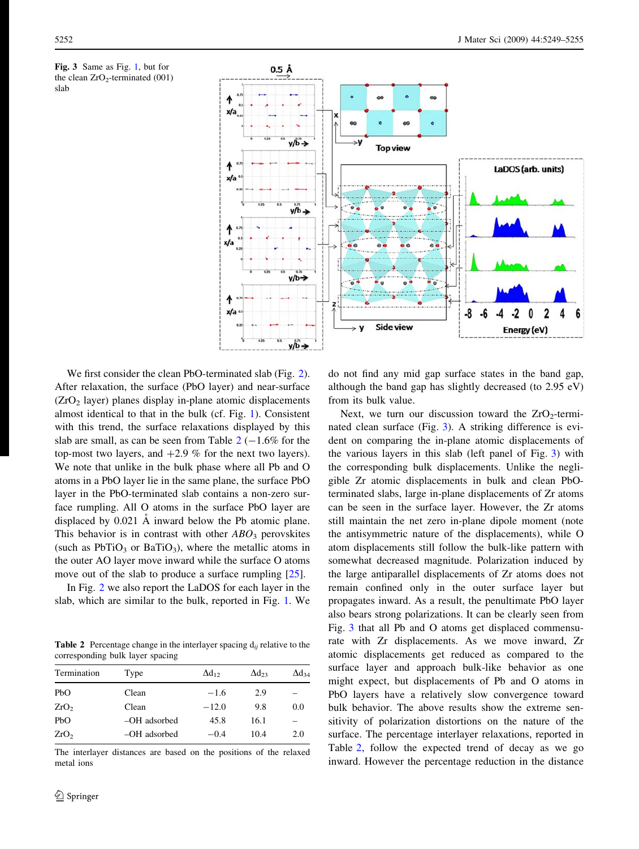<span id="page-3-0"></span>Fig. 3 Same as Fig. [1](#page-2-0), but for the clean  $ZrO<sub>2</sub>$ -terminated (001) slab



We first consider the clean PbO-terminated slab (Fig. [2](#page-2-0)). After relaxation, the surface (PbO layer) and near-surface  $(ZrO<sub>2</sub>)$  layer) planes display in-plane atomic displacements almost identical to that in the bulk (cf. Fig. [1\)](#page-2-0). Consistent with this trend, the surface relaxations displayed by this slab are small, as can be seen from Table  $2(-1.6\%$  for the top-most two layers, and  $+2.9$  % for the next two layers). We note that unlike in the bulk phase where all Pb and O atoms in a PbO layer lie in the same plane, the surface PbO layer in the PbO-terminated slab contains a non-zero surface rumpling. All O atoms in the surface PbO layer are displaced by  $0.021$  Å inward below the Pb atomic plane. This behavior is in contrast with other  $ABO<sub>3</sub>$  perovskites (such as  $PbTiO<sub>3</sub>$  or  $BaTiO<sub>3</sub>$ ), where the metallic atoms in the outer AO layer move inward while the surface O atoms move out of the slab to produce a surface rumpling [\[25](#page-6-0)].

In Fig. [2](#page-2-0) we also report the LaDOS for each layer in the slab, which are similar to the bulk, reported in Fig. [1](#page-2-0). We

**Table 2** Percentage change in the interlayer spacing  $d_{ij}$  relative to the corresponding bulk layer spacing

| Termination      | Type         | $\Delta d_{12}$ | $\Delta d_{23}$ | $\Delta d_{34}$ |
|------------------|--------------|-----------------|-----------------|-----------------|
| PbO              | Clean        | $-1.6$          | 2.9             |                 |
| ZrO <sub>2</sub> | Clean        | $-12.0$         | 9.8             | 0.0             |
| PbO              | -OH adsorbed | 45.8            | 16.1            |                 |
| ZrO <sub>2</sub> | -OH adsorbed | $-0.4$          | 10.4            | 2.0             |
|                  |              |                 |                 |                 |

The interlayer distances are based on the positions of the relaxed metal ions

do not find any mid gap surface states in the band gap, although the band gap has slightly decreased (to 2.95 eV) from its bulk value.

Next, we turn our discussion toward the  $ZrO<sub>2</sub>$ -terminated clean surface (Fig. 3). A striking difference is evident on comparing the in-plane atomic displacements of the various layers in this slab (left panel of Fig. 3) with the corresponding bulk displacements. Unlike the negligible Zr atomic displacements in bulk and clean PbOterminated slabs, large in-plane displacements of Zr atoms can be seen in the surface layer. However, the Zr atoms still maintain the net zero in-plane dipole moment (note the antisymmetric nature of the displacements), while O atom displacements still follow the bulk-like pattern with somewhat decreased magnitude. Polarization induced by the large antiparallel displacements of Zr atoms does not remain confined only in the outer surface layer but propagates inward. As a result, the penultimate PbO layer also bears strong polarizations. It can be clearly seen from Fig. 3 that all Pb and O atoms get displaced commensurate with Zr displacements. As we move inward, Zr atomic displacements get reduced as compared to the surface layer and approach bulk-like behavior as one might expect, but displacements of Pb and O atoms in PbO layers have a relatively slow convergence toward bulk behavior. The above results show the extreme sensitivity of polarization distortions on the nature of the surface. The percentage interlayer relaxations, reported in Table 2, follow the expected trend of decay as we go inward. However the percentage reduction in the distance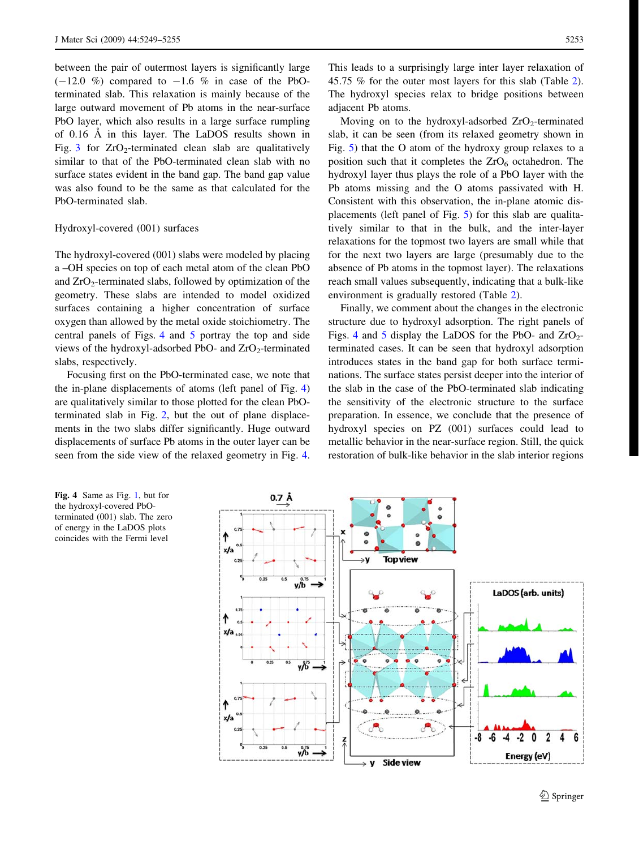<span id="page-4-0"></span>between the pair of outermost layers is significantly large  $(-12.0 \%)$  compared to  $-1.6 \%$  in case of the PbOterminated slab. This relaxation is mainly because of the large outward movement of Pb atoms in the near-surface PbO layer, which also results in a large surface rumpling of 0.16 A in this layer. The LaDOS results shown in Fig. [3](#page-3-0) for  $ZrO<sub>2</sub>$ -terminated clean slab are qualitatively similar to that of the PbO-terminated clean slab with no surface states evident in the band gap. The band gap value was also found to be the same as that calculated for the PbO-terminated slab.

## Hydroxyl-covered (001) surfaces

The hydroxyl-covered (001) slabs were modeled by placing a –OH species on top of each metal atom of the clean PbO and  $ZrO<sub>2</sub>$ -terminated slabs, followed by optimization of the geometry. These slabs are intended to model oxidized surfaces containing a higher concentration of surface oxygen than allowed by the metal oxide stoichiometry. The central panels of Figs. 4 and [5](#page-5-0) portray the top and side views of the hydroxyl-adsorbed PbO- and  $ZrO<sub>2</sub>$ -terminated slabs, respectively.

Focusing first on the PbO-terminated case, we note that the in-plane displacements of atoms (left panel of Fig. 4) are qualitatively similar to those plotted for the clean PbOterminated slab in Fig. [2,](#page-2-0) but the out of plane displacements in the two slabs differ significantly. Huge outward displacements of surface Pb atoms in the outer layer can be seen from the side view of the relaxed geometry in Fig. 4.

This leads to a surprisingly large inter layer relaxation of 45.75 % for the outer most layers for this slab (Table [2](#page-3-0)). The hydroxyl species relax to bridge positions between adjacent Pb atoms.

Moving on to the hydroxyl-adsorbed  $ZrO<sub>2</sub>$ -terminated slab, it can be seen (from its relaxed geometry shown in Fig. [5](#page-5-0)) that the O atom of the hydroxy group relaxes to a position such that it completes the  $ZrO<sub>6</sub>$  octahedron. The hydroxyl layer thus plays the role of a PbO layer with the Pb atoms missing and the O atoms passivated with H. Consistent with this observation, the in-plane atomic displacements (left panel of Fig. [5](#page-5-0)) for this slab are qualitatively similar to that in the bulk, and the inter-layer relaxations for the topmost two layers are small while that for the next two layers are large (presumably due to the absence of Pb atoms in the topmost layer). The relaxations reach small values subsequently, indicating that a bulk-like environment is gradually restored (Table [2](#page-3-0)).

Finally, we comment about the changes in the electronic structure due to hydroxyl adsorption. The right panels of Figs. 4 and [5](#page-5-0) display the LaDOS for the PbO- and  $ZrO<sub>2</sub>$ terminated cases. It can be seen that hydroxyl adsorption introduces states in the band gap for both surface terminations. The surface states persist deeper into the interior of the slab in the case of the PbO-terminated slab indicating the sensitivity of the electronic structure to the surface preparation. In essence, we conclude that the presence of hydroxyl species on PZ (001) surfaces could lead to metallic behavior in the near-surface region. Still, the quick restoration of bulk-like behavior in the slab interior regions

0.7 Å ↑ x/a **Top view** ٠V y/b LaDOS (arb. units) ↑ xla  $\bullet$  $\bullet$ y/b" ↑ x/a p.  $-6$  $-4$  $-2$ 0 -8  $\overline{2}$ y/b Energy (eV) Side view y

Fig. 4 Same as Fig. [1](#page-2-0), but for the hydroxyl-covered PbOterminated (001) slab. The zero of energy in the LaDOS plots coincides with the Fermi level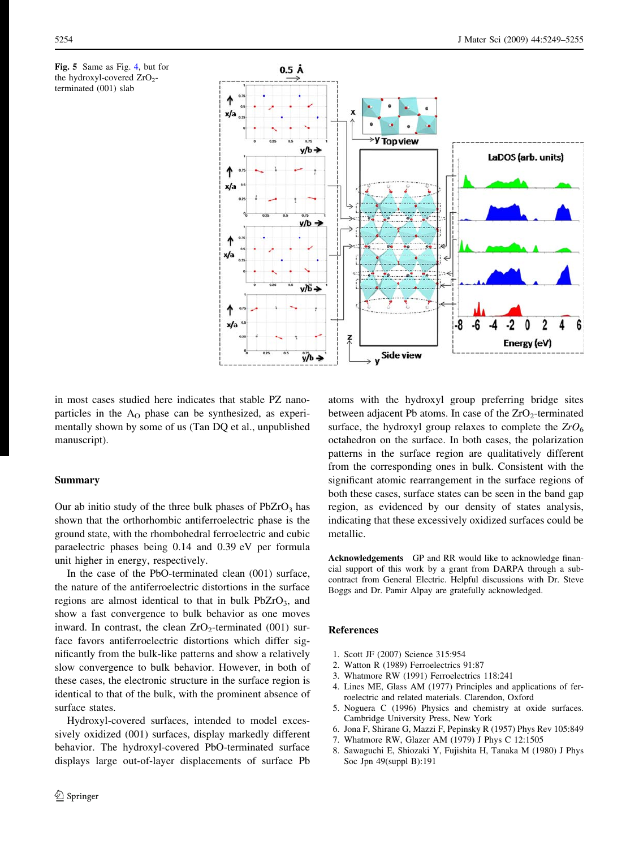<span id="page-5-0"></span>



in most cases studied here indicates that stable PZ nanoparticles in the  $A<sub>O</sub>$  phase can be synthesized, as experimentally shown by some of us (Tan DQ et al., unpublished manuscript).

## Summary

Our ab initio study of the three bulk phases of  $PbZrO<sub>3</sub>$  has shown that the orthorhombic antiferroelectric phase is the ground state, with the rhombohedral ferroelectric and cubic paraelectric phases being 0.14 and 0.39 eV per formula unit higher in energy, respectively.

In the case of the PbO-terminated clean (001) surface, the nature of the antiferroelectric distortions in the surface regions are almost identical to that in bulk  $PbZrO<sub>3</sub>$ , and show a fast convergence to bulk behavior as one moves inward. In contrast, the clean  $ZrO<sub>2</sub>$ -terminated (001) surface favors antiferroelectric distortions which differ significantly from the bulk-like patterns and show a relatively slow convergence to bulk behavior. However, in both of these cases, the electronic structure in the surface region is identical to that of the bulk, with the prominent absence of surface states.

Hydroxyl-covered surfaces, intended to model excessively oxidized (001) surfaces, display markedly different behavior. The hydroxyl-covered PbO-terminated surface displays large out-of-layer displacements of surface Pb atoms with the hydroxyl group preferring bridge sites between adjacent Pb atoms. In case of the  $ZrO<sub>2</sub>$ -terminated surface, the hydroxyl group relaxes to complete the  $ZrO_6$ octahedron on the surface. In both cases, the polarization patterns in the surface region are qualitatively different from the corresponding ones in bulk. Consistent with the significant atomic rearrangement in the surface regions of both these cases, surface states can be seen in the band gap region, as evidenced by our density of states analysis, indicating that these excessively oxidized surfaces could be metallic.

Acknowledgements GP and RR would like to acknowledge financial support of this work by a grant from DARPA through a subcontract from General Electric. Helpful discussions with Dr. Steve Boggs and Dr. Pamir Alpay are gratefully acknowledged.

## References

- 1. Scott JF (2007) Science 315:954
- 2. Watton R (1989) Ferroelectrics 91:87
- 3. Whatmore RW (1991) Ferroelectrics 118:241
- 4. Lines ME, Glass AM (1977) Principles and applications of ferroelectric and related materials. Clarendon, Oxford
- 5. Noguera C (1996) Physics and chemistry at oxide surfaces. Cambridge University Press, New York
- 6. Jona F, Shirane G, Mazzi F, Pepinsky R (1957) Phys Rev 105:849
- 7. Whatmore RW, Glazer AM (1979) J Phys C 12:1505
- 8. Sawaguchi E, Shiozaki Y, Fujishita H, Tanaka M (1980) J Phys Soc Jpn 49(suppl B):191